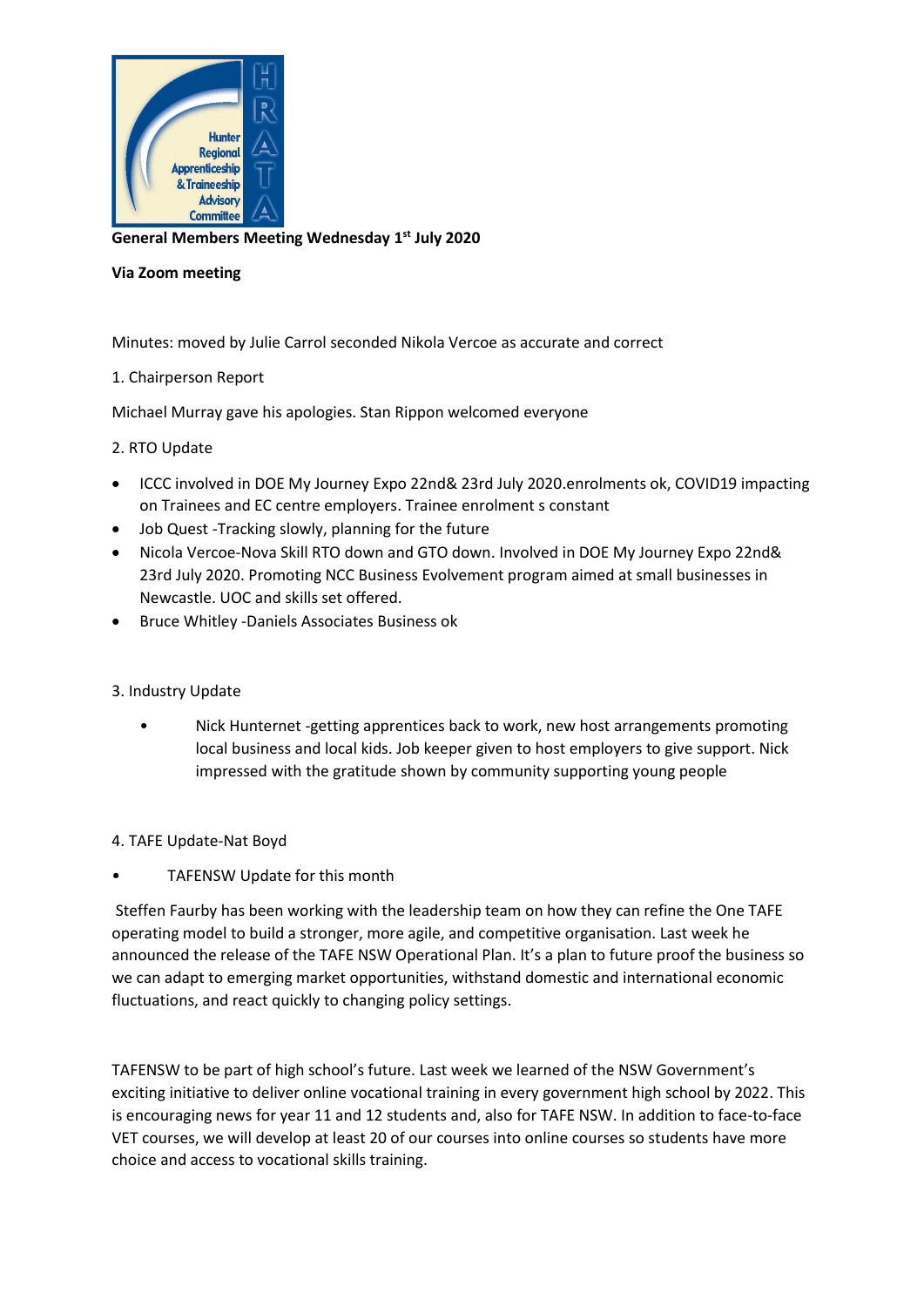

**General Members Meeting Wednesday 1 st July 2020**

## **Via Zoom meeting**

Minutes: moved by Julie Carrol seconded Nikola Vercoe as accurate and correct

## 1. Chairperson Report

Michael Murray gave his apologies. Stan Rippon welcomed everyone

2. RTO Update

- ICCC involved in DOE My Journey Expo 22nd& 23rd July 2020.enrolments ok, COVID19 impacting on Trainees and EC centre employers. Trainee enrolment s constant
- Job Quest -Tracking slowly, planning for the future
- Nicola Vercoe-Nova Skill RTO down and GTO down. Involved in DOE My Journey Expo 22nd& 23rd July 2020. Promoting NCC Business Evolvement program aimed at small businesses in Newcastle. UOC and skills set offered.
- Bruce Whitley -Daniels Associates Business ok

### 3. Industry Update

• Nick Hunternet -getting apprentices back to work, new host arrangements promoting local business and local kids. Job keeper given to host employers to give support. Nick impressed with the gratitude shown by community supporting young people

4. TAFE Update-Nat Boyd

TAFENSW Update for this month

Steffen Faurby has been working with the leadership team on how they can refine the One TAFE operating model to build a stronger, more agile, and competitive organisation. Last week he announced the release of the TAFE NSW Operational Plan. It's a plan to future proof the business so we can adapt to emerging market opportunities, withstand domestic and international economic fluctuations, and react quickly to changing policy settings.

TAFENSW to be part of high school's future. Last week we learned of the NSW Government's exciting initiative to deliver online vocational training in every government high school by 2022. This is encouraging news for year 11 and 12 students and, also for TAFE NSW. In addition to face-to-face VET courses, we will develop at least 20 of our courses into online courses so students have more choice and access to vocational skills training.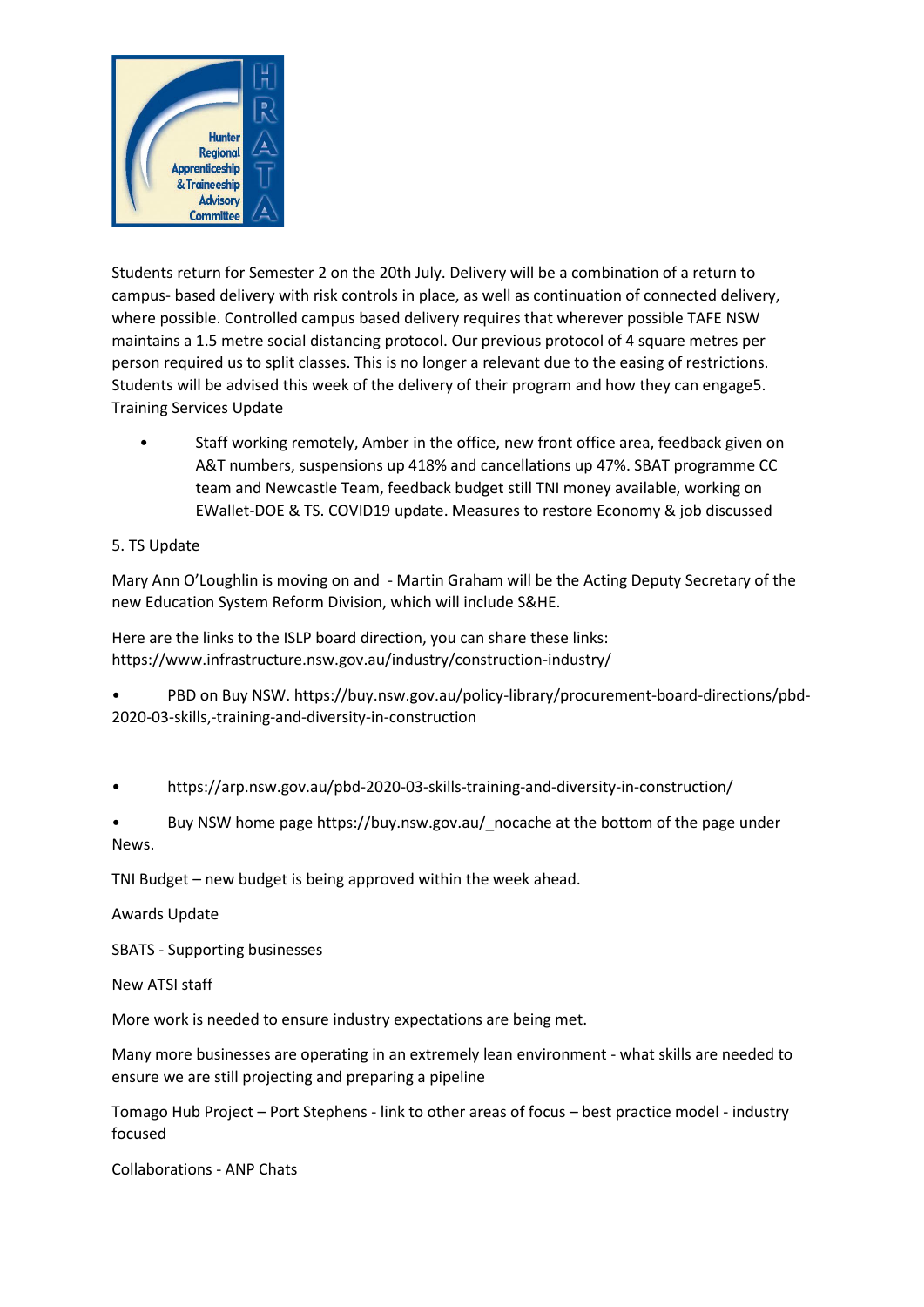

Students return for Semester 2 on the 20th July. Delivery will be a combination of a return to campus- based delivery with risk controls in place, as well as continuation of connected delivery, where possible. Controlled campus based delivery requires that wherever possible TAFE NSW maintains a 1.5 metre social distancing protocol. Our previous protocol of 4 square metres per person required us to split classes. This is no longer a relevant due to the easing of restrictions. Students will be advised this week of the delivery of their program and how they can engage5. Training Services Update

Staff working remotely, Amber in the office, new front office area, feedback given on A&T numbers, suspensions up 418% and cancellations up 47%. SBAT programme CC team and Newcastle Team, feedback budget still TNI money available, working on EWallet-DOE & TS. COVID19 update. Measures to restore Economy & job discussed

# 5. TS Update

Mary Ann O'Loughlin is moving on and - Martin Graham will be the Acting Deputy Secretary of the new Education System Reform Division, which will include S&HE.

Here are the links to the ISLP board direction, you can share these links: https://www.infrastructure.nsw.gov.au/industry/construction-industry/

• PBD on Buy NSW. https://buy.nsw.gov.au/policy-library/procurement-board-directions/pbd-2020-03-skills,-training-and-diversity-in-construction

- https://arp.nsw.gov.au/pbd-2020-03-skills-training-and-diversity-in-construction/
- Buy NSW home page https://buy.nsw.gov.au/\_nocache at the bottom of the page under News.

TNI Budget – new budget is being approved within the week ahead.

Awards Update

SBATS - Supporting businesses

New ATSI staff

More work is needed to ensure industry expectations are being met.

Many more businesses are operating in an extremely lean environment - what skills are needed to ensure we are still projecting and preparing a pipeline

Tomago Hub Project – Port Stephens - link to other areas of focus – best practice model - industry focused

Collaborations - ANP Chats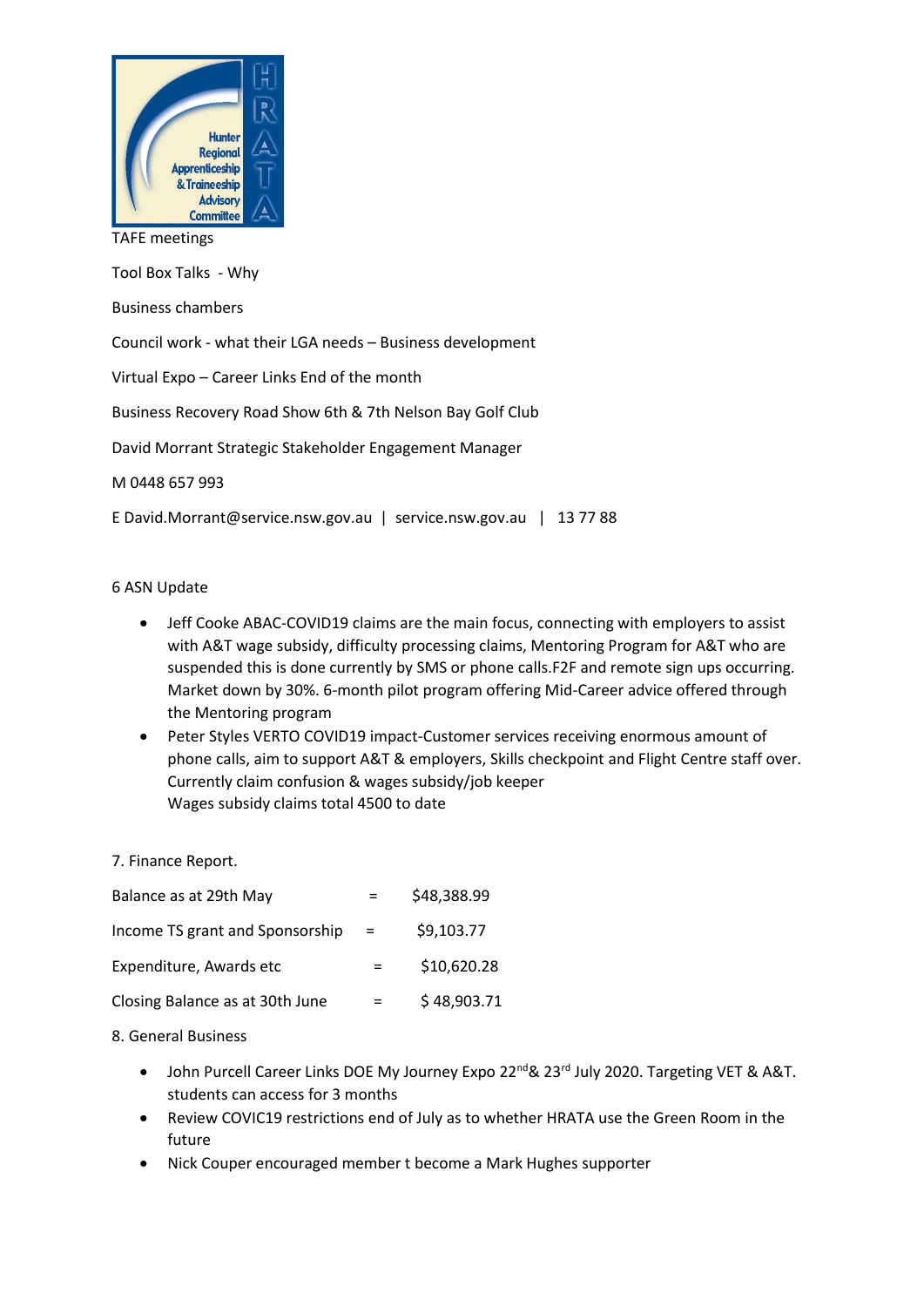

#### TAFE meetings

Tool Box Talks - Why Business chambers Council work - what their LGA needs – Business development Virtual Expo – Career Links End of the month Business Recovery Road Show 6th & 7th Nelson Bay Golf Club David Morrant Strategic Stakeholder Engagement Manager M 0448 657 993 E David.Morrant@service.nsw.gov.au | service.nsw.gov.au | 13 77 88

6 ASN Update

- Jeff Cooke ABAC-COVID19 claims are the main focus, connecting with employers to assist with A&T wage subsidy, difficulty processing claims, Mentoring Program for A&T who are suspended this is done currently by SMS or phone calls.F2F and remote sign ups occurring. Market down by 30%. 6-month pilot program offering Mid-Career advice offered through the Mentoring program
- Peter Styles VERTO COVID19 impact-Customer services receiving enormous amount of phone calls, aim to support A&T & employers, Skills checkpoint and Flight Centre staff over. Currently claim confusion & wages subsidy/job keeper Wages subsidy claims total 4500 to date

7. Finance Report.

| Balance as at 29th May          |     | \$48,388.99 |
|---------------------------------|-----|-------------|
| Income TS grant and Sponsorship | $=$ | \$9,103.77  |
| Expenditure, Awards etc         |     | \$10,620.28 |
| Closing Balance as at 30th June |     | \$48,903.71 |

### 8. General Business

- John Purcell Career Links DOE My Journey Expo 22<sup>nd</sup> & 23<sup>rd</sup> July 2020. Targeting VET & A&T. students can access for 3 months
- Review COVIC19 restrictions end of July as to whether HRATA use the Green Room in the future
- Nick Couper encouraged member t become a Mark Hughes supporter